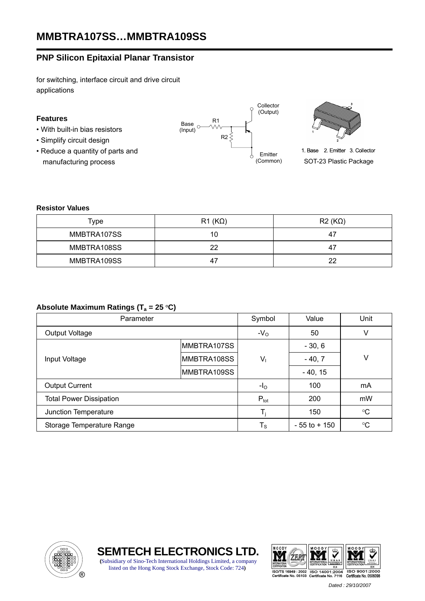# **PNP Silicon Epitaxial Planar Transistor**

for switching, interface circuit and drive circuit applications

## **Features**

- With built-in bias resistors
- Simplify circuit design
- Reduce a quantity of parts and manufacturing process





1. Base 2. Emitter 3. Collector SOT-23 Plastic Package

#### **Resistor Values**

| Type        | $R1 (K\Omega)$ | $R2(K\Omega)$ |
|-------------|----------------|---------------|
| MMBTRA107SS | 10             | -47           |
| MMBTRA108SS | つつ             | 47            |
| MMBTRA109SS |                | 22            |

## Absolute Maximum Ratings (T<sub>a</sub> = 25 °C)

| Parameter                      |              | Symbol                  | Value           | Unit        |  |
|--------------------------------|--------------|-------------------------|-----------------|-------------|--|
| <b>Output Voltage</b>          |              | $-VO$                   | 50              | v           |  |
|                                | IMMBTRA107SS |                         | $-30, 6$        |             |  |
| Input Voltage                  | MMBTRA108SS  | $V_{1}$                 | $-40,7$         | ٧           |  |
|                                | MMBTRA109SS  |                         | $-40, 15$       |             |  |
| <b>Output Current</b>          |              | $-IO$                   | 100             | mA          |  |
| <b>Total Power Dissipation</b> |              | $P_{\text{tot}}$        | 200             | mW          |  |
| Junction Temperature           |              |                         | 150             | $^{\circ}C$ |  |
| Storage Temperature Range      |              | $\mathsf{T}_\mathsf{S}$ | $-55$ to $+150$ | $^{\circ}C$ |  |







 *Dated : 29/10/2007*